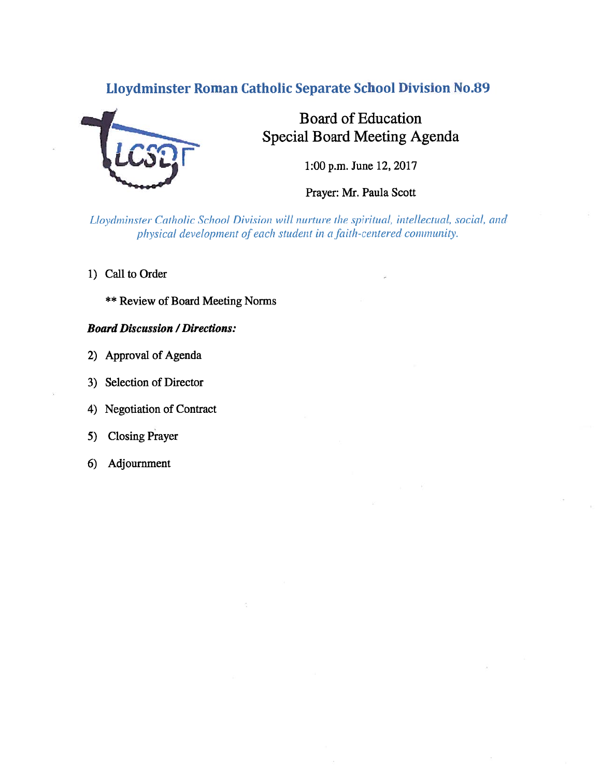## Lloydminster Roman Catholic Separate School Division No.89



# Board of Education Special Board Meeting Agenda

1:00 p.m. June 12, 2017

Prayer: Mr. Paula Scott

Lloydminster Catholic School Division will nurture the spiritual, intellectual, social, and physical development of each student in a faith-centered community.

- 1) Call to Order
	- \*\* Review of Board Meeting Norms

## **Board Discussion / Directions:**

- 2) Approval of Agenda
- 3) Selection of Director
- 4) Negotiation of Contract
- 5) Closing Prayer
- 6) Adjournment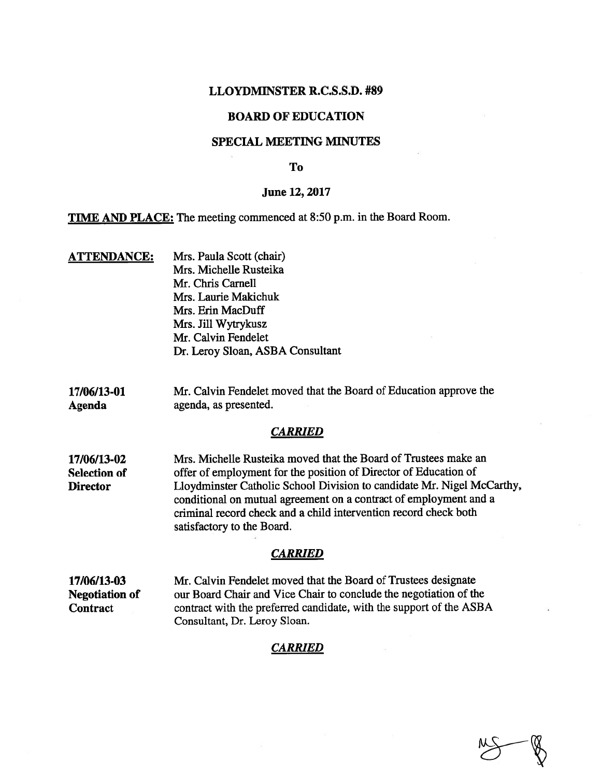#### LLOYDMINSTER R.C.S.S.D. #89

### BOARD OF EDUCATION

#### SPECIAL MEETING MINUTES

#### To

#### June 12, 2017

TIME AND PLACE: The meeting commenced at 8:50 p.m. in the Board Room.

- ATTENDANCE: Mrs. Paula Scott (chair) Mrs. Michelle Rusteika Mr. Chris Carnell Mrs. Laurie Makichuk Mrs. Erin MacDuff Mrs. Jill Wytrykusz Mr. Calvin Fendelet Dr. Leroy Sloan, ASBA Consultant
- 17/06/13-01 Mr. Calvin Fendelet moved that the Board of Education approve the Agenda agenda, as presented.

#### **CARRIED**

17/06/13-02 Mrs. Michelle Rusteika moved that the Board of Trustees make an Selection of offer of employment for the position of Director of Education of Director Lloydminster Catholic School Division to candidate Mr. Nigel McCarthy, conditional on mutual agreemen<sup>t</sup> on <sup>a</sup> contract of employment and <sup>a</sup> criminal record check and <sup>a</sup> child intervention record check both satisfactory to the Board.

#### **CARRIED**

17/06/13-03 Mr. Calvin Fendelet moved that the Board of Trustees designate Negotiation of our Board Chair and Vice Chair to conclude the negotiation of the Contract contract with the preferred candidate, with the support of the ASBA Consultant, Dr. Leroy Sloan.

#### **CARRIED**